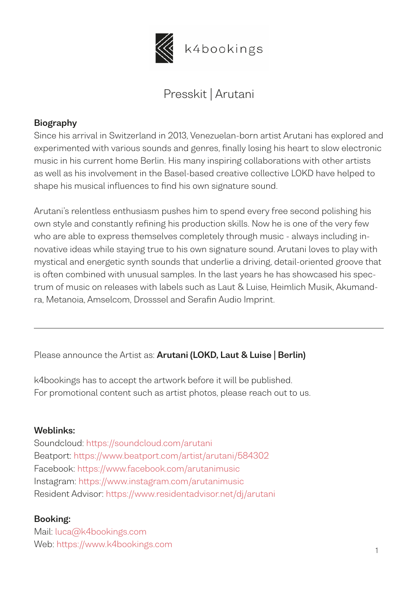

k4bookings

# Presskit | Arutani

#### **Biography**

Since his arrival in Switzerland in 2013, Venezuelan-born artist Arutani has explored and experimented with various sounds and genres, finally losing his heart to slow electronic music in his current home Berlin. His many inspiring collaborations with other artists as well as his involvement in the Basel-based creative collective LOKD have helped to shape his musical influences to find his own signature sound.

Arutani's relentless enthusiasm pushes him to spend every free second polishing his own style and constantly refining his production skills. Now he is one of the very few who are able to express themselves completely through music - always including innovative ideas while staying true to his own signature sound. Arutani loves to play with mystical and energetic synth sounds that underlie a driving, detail-oriented groove that is often combined with unusual samples. In the last years he has showcased his spectrum of music on releases with labels such as Laut & Luise, Heimlich Musik, Akumandra, Metanoia, Amselcom, Drosssel and Serafin Audio Imprint.

Please announce the Artist as: **Arutani (LOKD, Laut & Luise | Berlin)**

k4bookings has to accept the artwork before it will be published. For promotional content such as artist photos, please reach out to us.

#### **Weblinks:**

Soundcloud: <https://soundcloud.com/arutani> Beatport:<https://www.beatport.com/artist/arutani/584302> Facebook:<https://www.facebook.com/arutanimusic> Instagram: <https://www.instagram.com/arutanimusic> Resident Advisor: <https://www.residentadvisor.net/dj/arutani>

#### **Booking:**

 $\mathbb{P}$  1 Mail: [luca@k4bookings.com](mailto:luca@k4bookings.com) Web: [https://www.k4bookings.com](https://www.k4bookings.com/)